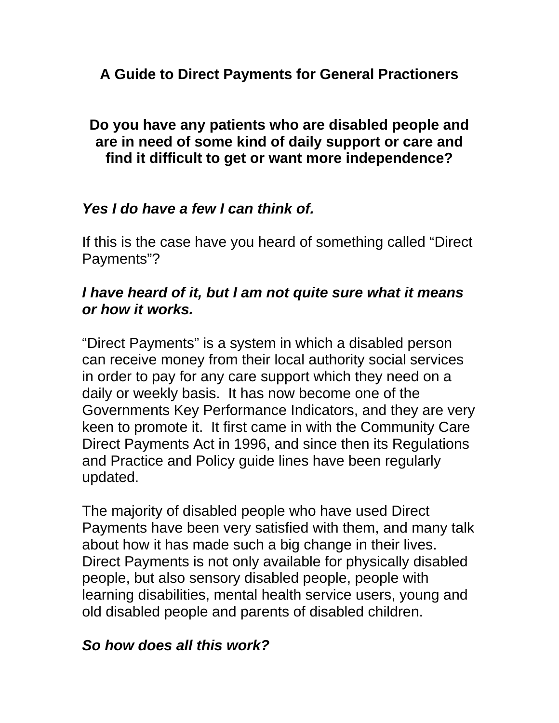## **A Guide to Direct Payments for General Practioners**

### **Do you have any patients who are disabled people and are in need of some kind of daily support or care and find it difficult to get or want more independence?**

## *Yes I do have a few I can think of.*

If this is the case have you heard of something called "Direct Payments"?

### *I have heard of it, but I am not quite sure what it means or how it works.*

"Direct Payments" is a system in which a disabled person can receive money from their local authority social services in order to pay for any care support which they need on a daily or weekly basis. It has now become one of the Governments Key Performance Indicators, and they are very keen to promote it. It first came in with the Community Care Direct Payments Act in 1996, and since then its Regulations and Practice and Policy guide lines have been regularly updated.

The majority of disabled people who have used Direct Payments have been very satisfied with them, and many talk about how it has made such a big change in their lives. Direct Payments is not only available for physically disabled people, but also sensory disabled people, people with learning disabilities, mental health service users, young and old disabled people and parents of disabled children.

## *So how does all this work?*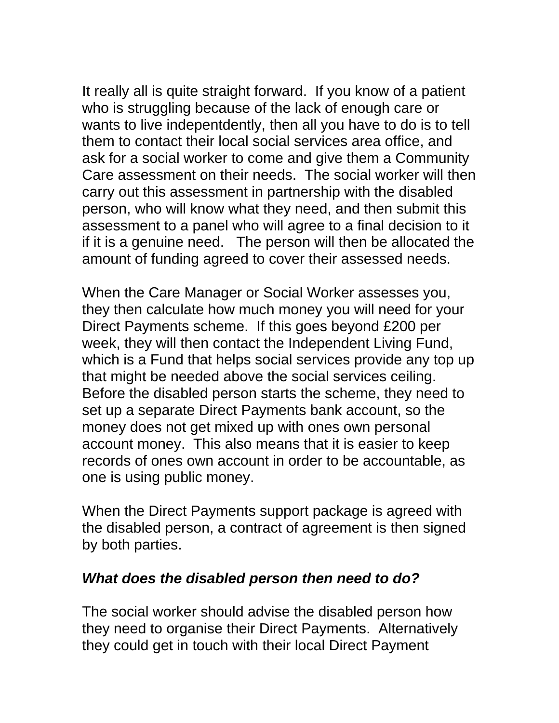It really all is quite straight forward. If you know of a patient who is struggling because of the lack of enough care or wants to live indepentdently, then all you have to do is to tell them to contact their local social services area office, and ask for a social worker to come and give them a Community Care assessment on their needs. The social worker will then carry out this assessment in partnership with the disabled person, who will know what they need, and then submit this assessment to a panel who will agree to a final decision to it if it is a genuine need. The person will then be allocated the amount of funding agreed to cover their assessed needs.

When the Care Manager or Social Worker assesses you, they then calculate how much money you will need for your Direct Payments scheme. If this goes beyond £200 per week, they will then contact the Independent Living Fund, which is a Fund that helps social services provide any top up that might be needed above the social services ceiling. Before the disabled person starts the scheme, they need to set up a separate Direct Payments bank account, so the money does not get mixed up with ones own personal account money. This also means that it is easier to keep records of ones own account in order to be accountable, as one is using public money.

When the Direct Payments support package is agreed with the disabled person, a contract of agreement is then signed by both parties.

### *What does the disabled person then need to do?*

The social worker should advise the disabled person how they need to organise their Direct Payments. Alternatively they could get in touch with their local Direct Payment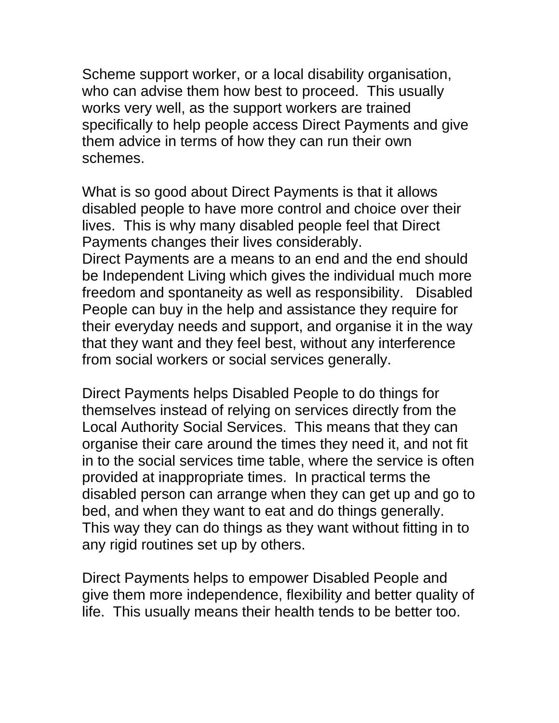Scheme support worker, or a local disability organisation, who can advise them how best to proceed. This usually works very well, as the support workers are trained specifically to help people access Direct Payments and give them advice in terms of how they can run their own schemes.

What is so good about Direct Payments is that it allows disabled people to have more control and choice over their lives. This is why many disabled people feel that Direct Payments changes their lives considerably. Direct Payments are a means to an end and the end should be Independent Living which gives the individual much more freedom and spontaneity as well as responsibility. Disabled People can buy in the help and assistance they require for their everyday needs and support, and organise it in the way that they want and they feel best, without any interference from social workers or social services generally.

Direct Payments helps Disabled People to do things for themselves instead of relying on services directly from the Local Authority Social Services. This means that they can organise their care around the times they need it, and not fit in to the social services time table, where the service is often provided at inappropriate times. In practical terms the disabled person can arrange when they can get up and go to bed, and when they want to eat and do things generally. This way they can do things as they want without fitting in to any rigid routines set up by others.

Direct Payments helps to empower Disabled People and give them more independence, flexibility and better quality of life. This usually means their health tends to be better too.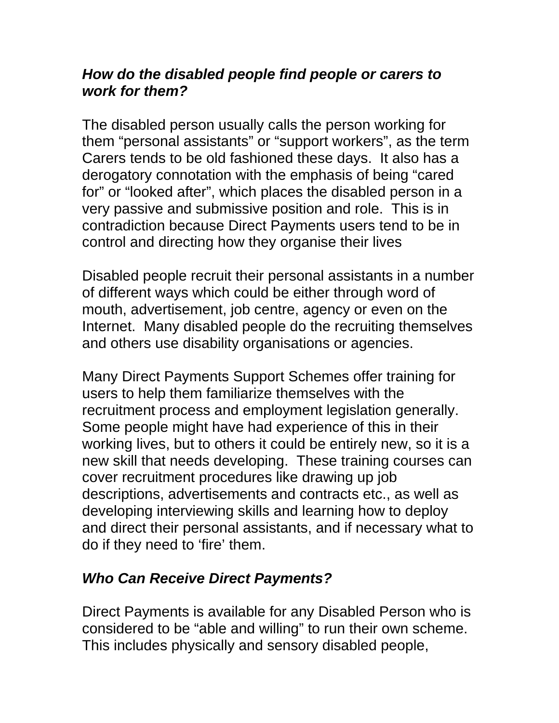### *How do the disabled people find people or carers to work for them?*

The disabled person usually calls the person working for them "personal assistants" or "support workers", as the term Carers tends to be old fashioned these days. It also has a derogatory connotation with the emphasis of being "cared for" or "looked after", which places the disabled person in a very passive and submissive position and role. This is in contradiction because Direct Payments users tend to be in control and directing how they organise their lives

Disabled people recruit their personal assistants in a number of different ways which could be either through word of mouth, advertisement, job centre, agency or even on the Internet. Many disabled people do the recruiting themselves and others use disability organisations or agencies.

Many Direct Payments Support Schemes offer training for users to help them familiarize themselves with the recruitment process and employment legislation generally. Some people might have had experience of this in their working lives, but to others it could be entirely new, so it is a new skill that needs developing. These training courses can cover recruitment procedures like drawing up job descriptions, advertisements and contracts etc., as well as developing interviewing skills and learning how to deploy and direct their personal assistants, and if necessary what to do if they need to 'fire' them.

# *Who Can Receive Direct Payments?*

Direct Payments is available for any Disabled Person who is considered to be "able and willing" to run their own scheme. This includes physically and sensory disabled people,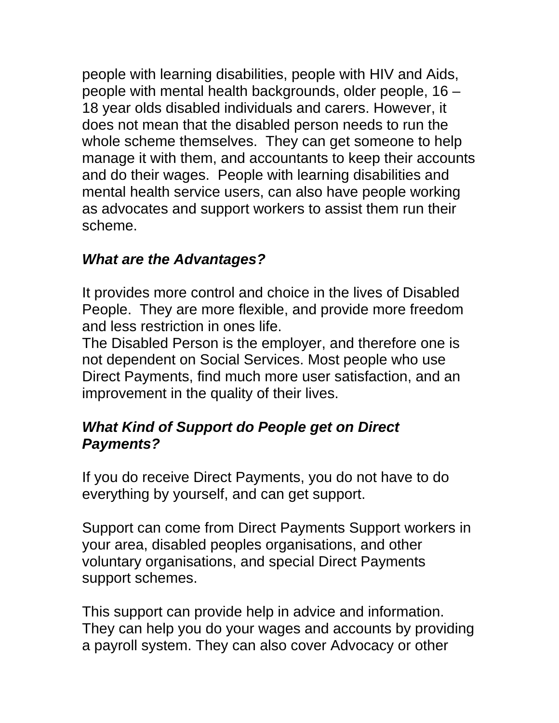people with learning disabilities, people with HIV and Aids, people with mental health backgrounds, older people, 16 – 18 year olds disabled individuals and carers. However, it does not mean that the disabled person needs to run the whole scheme themselves. They can get someone to help manage it with them, and accountants to keep their accounts and do their wages. People with learning disabilities and mental health service users, can also have people working as advocates and support workers to assist them run their scheme.

## *What are the Advantages?*

It provides more control and choice in the lives of Disabled People. They are more flexible, and provide more freedom and less restriction in ones life.

The Disabled Person is the employer, and therefore one is not dependent on Social Services. Most people who use Direct Payments, find much more user satisfaction, and an improvement in the quality of their lives.

## *What Kind of Support do People get on Direct Payments?*

If you do receive Direct Payments, you do not have to do everything by yourself, and can get support.

Support can come from Direct Payments Support workers in your area, disabled peoples organisations, and other voluntary organisations, and special Direct Payments support schemes.

This support can provide help in advice and information. They can help you do your wages and accounts by providing a payroll system. They can also cover Advocacy or other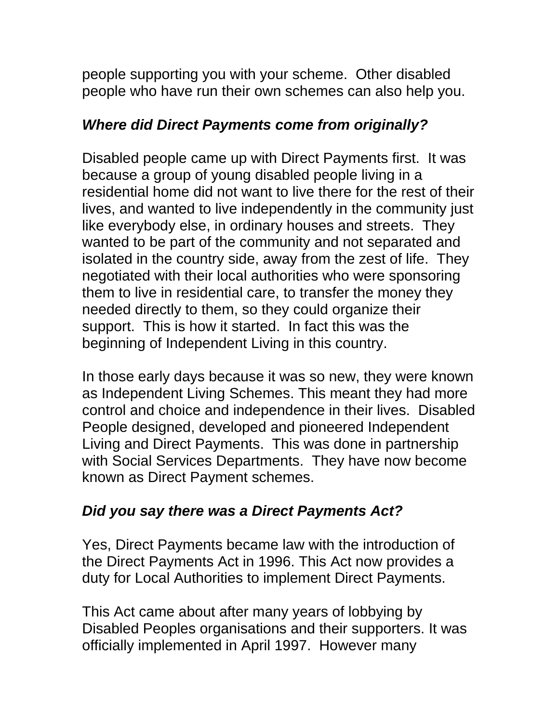people supporting you with your scheme. Other disabled people who have run their own schemes can also help you.

## *Where did Direct Payments come from originally?*

Disabled people came up with Direct Payments first. It was because a group of young disabled people living in a residential home did not want to live there for the rest of their lives, and wanted to live independently in the community just like everybody else, in ordinary houses and streets. They wanted to be part of the community and not separated and isolated in the country side, away from the zest of life. They negotiated with their local authorities who were sponsoring them to live in residential care, to transfer the money they needed directly to them, so they could organize their support. This is how it started. In fact this was the beginning of Independent Living in this country.

In those early days because it was so new, they were known as Independent Living Schemes. This meant they had more control and choice and independence in their lives. Disabled People designed, developed and pioneered Independent Living and Direct Payments. This was done in partnership with Social Services Departments. They have now become known as Direct Payment schemes.

## *Did you say there was a Direct Payments Act?*

Yes, Direct Payments became law with the introduction of the Direct Payments Act in 1996. This Act now provides a duty for Local Authorities to implement Direct Payments.

This Act came about after many years of lobbying by Disabled Peoples organisations and their supporters. It was officially implemented in April 1997. However many